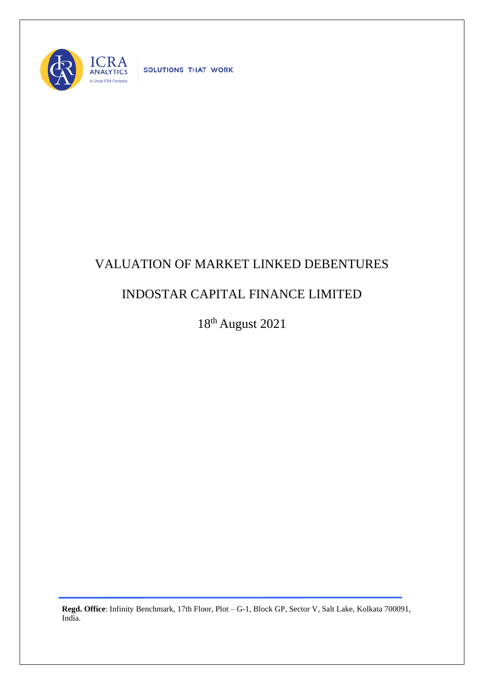

SOLUTIONS THAT WORK

## VALUATION OF MARKET LINKED DEBENTURES

## INDOSTAR CAPITAL FINANCE LIMITED

18th August 2021

**Regd. Office**: Infinity Benchmark, 17th Floor, Plot – G-1, Block GP, Sector V, Salt Lake, Kolkata 700091, India.